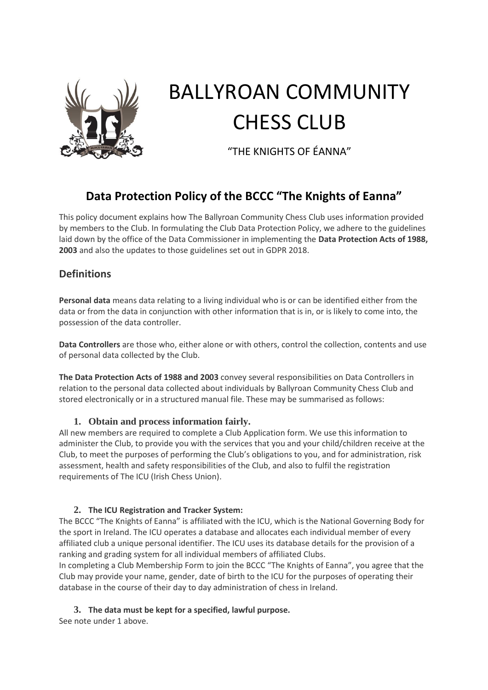

# BALLYROAN COMMUNITY CHESS CLUB

"THE KNIGHTS OF ÉANNA"

# **Data Protection Policy of the BCCC "The Knights of Eanna"**

This policy document explains how The Ballyroan Community Chess Club uses information provided by members to the Club. In formulating the Club Data Protection Policy, we adhere to the guidelines laid down by the office of the Data Commissioner in implementing the **Data Protection Acts of 1988, 2003** and also the updates to those guidelines set out in GDPR 2018.

## **Definitions**

**Personal data** means data relating to a living individual who is or can be identified either from the data or from the data in conjunction with other information that is in, or is likely to come into, the possession of the data controller.

**Data Controllers** are those who, either alone or with others, control the collection, contents and use of personal data collected by the Club.

**The Data Protection Acts of 1988 and 2003** convey several responsibilities on Data Controllers in relation to the personal data collected about individuals by Ballyroan Community Chess Club and stored electronically or in a structured manual file. These may be summarised as follows:

#### **1. Obtain and process information fairly.**

All new members are required to complete a Club Application form. We use this information to administer the Club, to provide you with the services that you and your child/children receive at the Club, to meet the purposes of performing the Club's obligations to you, and for administration, risk assessment, health and safety responsibilities of the Club, and also to fulfil the registration requirements of The ICU (Irish Chess Union).

#### **2. The ICU Registration and Tracker System:**

The BCCC "The Knights of Eanna" is affiliated with the ICU, which is the National Governing Body for the sport in Ireland. The ICU operates a database and allocates each individual member of every affiliated club a unique personal identifier. The ICU uses its database details for the provision of a ranking and grading system for all individual members of affiliated Clubs.

In completing a Club Membership Form to join the BCCC "The Knights of Eanna", you agree that the Club may provide your name, gender, date of birth to the ICU for the purposes of operating their database in the course of their day to day administration of chess in Ireland.

## **3. The data must be kept for a specified, lawful purpose.**

See note under 1 above.